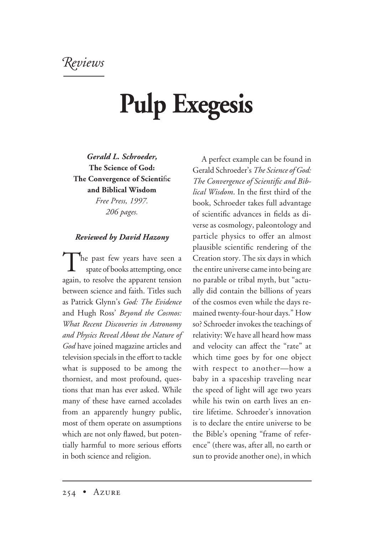*eviews*

## **Pulp Exegesis**

*Gerald L. Schroeder,* **The Science of God: The Convergence of Scienti**fi**c and Biblical Wisdom** *Free Press, 1997.*

*206 pages.*

## *Reviewed by David Hazony*

The past few years have seen a spate of books attempting, once again, to resolve the apparent tension between science and faith. Titles such as Patrick Glynn's *God: The Evidence* and Hugh Ross' *Beyond the Cosmos: What Recent Discoveries in Astronomy and Physics Reveal About the Nature of God* have joined magazine articles and television specials in the effort to tackle what is supposed to be among the thorniest, and most profound, questions that man has ever asked. While many of these have earned accolades from an apparently hungry public, most of them operate on assumptions which are not only flawed, but potentially harmful to more serious efforts in both science and religion.

A perfect example can be found in Gerald Schroeder's *The Science of God: The Convergence of Scientific and Biblical Wisdom*. In the first third of the book, Schroeder takes full advantage of scientific advances in fields as diverse as cosmology, paleontology and particle physics to offer an almost plausible scientific rendering of the Creation story. The six days in which the entire universe came into being are no parable or tribal myth, but "actually did contain the billions of years of the cosmos even while the days remained twenty-four-hour days." How so? Schroeder invokes the teachings of relativity: We have all heard how mass and velocity can affect the "rate" at which time goes by for one object with respect to another—how a baby in a spaceship traveling near the speed of light will age two years while his twin on earth lives an entire lifetime. Schroeder's innovation is to declare the entire universe to be the Bible's opening "frame of reference" (there was, after all, no earth or sun to provide another one), in which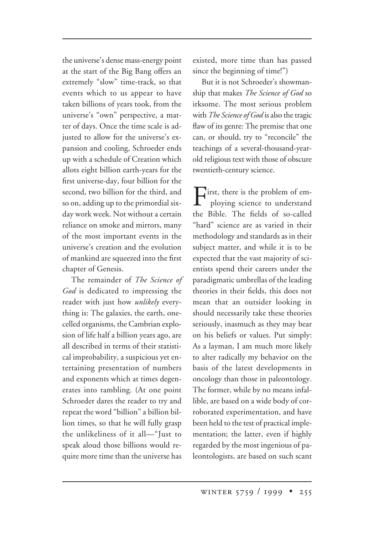the universe's dense mass-energy point at the start of the Big Bang offers an extremely "slow" time-track, so that events which to us appear to have taken billions of years took, from the universe's "own" perspective, a matter of days. Once the time scale is adjusted to allow for the universe's expansion and cooling, Schroeder ends up with a schedule of Creation which allots eight billion earth-years for the first universe-day, four billion for the second, two billion for the third, and so on, adding up to the primordial sixday work week. Not without a certain reliance on smoke and mirrors, many of the most important events in the universe's creation and the evolution of mankind are squeezed into the first chapter of Genesis.

The remainder of *The Science of God* is dedicated to impressing the reader with just how *unlikely* everything is: The galaxies, the earth, onecelled organisms, the Cambrian explosion of life half a billion years ago, are all described in terms of their statistical improbability, a suspicious yet entertaining presentation of numbers and exponents which at times degenerates into rambling. (At one point Schroeder dares the reader to try and repeat the word "billion" a billion billion times, so that he will fully grasp the unlikeliness of it all—"Just to speak aloud those billions would require more time than the universe has

existed, more time than has passed since the beginning of time!")

But it is not Schroeder's showmanship that makes *The Science of God* so irksome. The most serious problem with *The Science of God* is also the tragic flaw of its genre: The premise that one can, or should, try to "reconcile" the teachings of a several-thousand-yearold religious text with those of obscure twentieth-century science.

First, there is the problem of employing science to understand the Bible. The fields of so-called "hard" science are as varied in their methodology and standards as in their subject matter, and while it is to be expected that the vast majority of scientists spend their careers under the paradigmatic umbrellas of the leading theories in their fields, this does not mean that an outsider looking in should necessarily take these theories seriously, inasmuch as they may bear on his beliefs or values. Put simply: As a layman, I am much more likely to alter radically my behavior on the basis of the latest developments in oncology than those in paleontology. The former, while by no means infallible, are based on a wide body of corroborated experimentation, and have been held to the test of practical implementation; the latter, even if highly regarded by the most ingenious of paleontologists, are based on such scant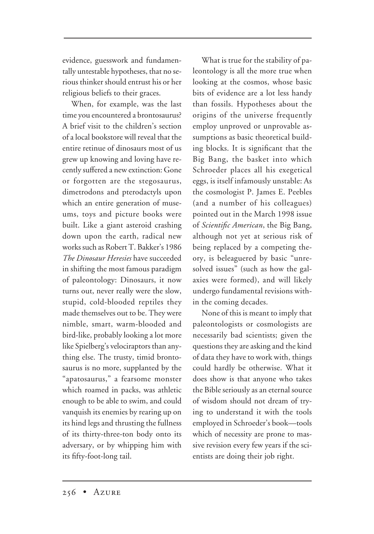evidence, guesswork and fundamentally untestable hypotheses, that no serious thinker should entrust his or her religious beliefs to their graces.

When, for example, was the last time you encountered a brontosaurus? A brief visit to the children's section of a local bookstore will reveal that the entire retinue of dinosaurs most of us grew up knowing and loving have recently suffered a new extinction: Gone or forgotten are the stegosaurus, dimetrodons and pterodactyls upon which an entire generation of museums, toys and picture books were built. Like a giant asteroid crashing down upon the earth, radical new works such as Robert T. Bakker's 1986 *The Dinosaur Heresies* have succeeded in shifting the most famous paradigm of paleontology: Dinosaurs, it now turns out, never really were the slow, stupid, cold-blooded reptiles they made themselves out to be. They were nimble, smart, warm-blooded and bird-like, probably looking a lot more like Spielberg's velociraptors than anything else. The trusty, timid brontosaurus is no more, supplanted by the "apatosaurus," a fearsome monster which roamed in packs, was athletic enough to be able to swim, and could vanquish its enemies by rearing up on its hind legs and thrusting the fullness of its thirty-three-ton body onto its adversary, or by whipping him with its fifty-foot-long tail.

What is true for the stability of paleontology is all the more true when looking at the cosmos, whose basic bits of evidence are a lot less handy than fossils. Hypotheses about the origins of the universe frequently employ unproved or unprovable assumptions as basic theoretical building blocks. It is significant that the Big Bang, the basket into which Schroeder places all his exegetical eggs, is itself infamously unstable: As the cosmologist P. James E. Peebles (and a number of his colleagues) pointed out in the March 1998 issue of *Scientific American*, the Big Bang, although not yet at serious risk of being replaced by a competing theory, is beleaguered by basic "unresolved issues" (such as how the galaxies were formed), and will likely undergo fundamental revisions within the coming decades.

None of this is meant to imply that paleontologists or cosmologists are necessarily bad scientists; given the questions they are asking and the kind of data they have to work with, things could hardly be otherwise. What it does show is that anyone who takes the Bible seriously as an eternal source of wisdom should not dream of trying to understand it with the tools employed in Schroeder's book—tools which of necessity are prone to massive revision every few years if the scientists are doing their job right.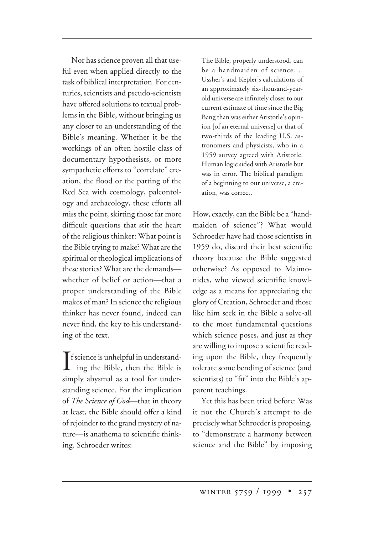Nor has science proven all that useful even when applied directly to the task of biblical interpretation. For centuries, scientists and pseudo-scientists have offered solutions to textual problems in the Bible, without bringing us any closer to an understanding of the Bible's meaning. Whether it be the workings of an often hostile class of documentary hypothesists, or more sympathetic efforts to "correlate" creation, the flood or the parting of the Red Sea with cosmology, paleontology and archaeology, these efforts all miss the point, skirting those far more difficult questions that stir the heart of the religious thinker: What point is the Bible trying to make? What are the spiritual or theological implications of these stories? What are the demands whether of belief or action—that a proper understanding of the Bible makes of man? In science the religious thinker has never found, indeed can never find, the key to his understanding of the text.

 $\prod_{i=1}^{\infty} \frac{1}{i} \text{ is unhelpful in understanding of the Bible.}$ ing the Bible, then the Bible is simply abysmal as a tool for understanding science. For the implication of *The Science of God*—that in theory at least, the Bible should offer a kind of rejoinder to the grand mystery of nature—is anathema to scientific thinking. Schroeder writes:

The Bible, properly understood, can be a handmaiden of science…. Ussher's and Kepler's calculations of an approximately six-thousand-yearold universe are infinitely closer to our current estimate of time since the Big Bang than was either Aristotle's opinion [of an eternal universe] or that of two-thirds of the leading U.S. astronomers and physicists, who in a 1959 survey agreed with Aristotle. Human logic sided with Aristotle but was in error. The biblical paradigm of a beginning to our universe, a creation, was correct.

How, exactly, can the Bible be a "handmaiden of science"? What would Schroeder have had those scientists in 1959 do, discard their best scientific theory because the Bible suggested otherwise? As opposed to Maimonides, who viewed scientific knowledge as a means for appreciating the glory of Creation, Schroeder and those like him seek in the Bible a solve-all to the most fundamental questions which science poses, and just as they are willing to impose a scientific reading upon the Bible, they frequently tolerate some bending of science (and scientists) to "fit" into the Bible's apparent teachings.

Yet this has been tried before: Was it not the Church's attempt to do precisely what Schroeder is proposing, to "demonstrate a harmony between science and the Bible" by imposing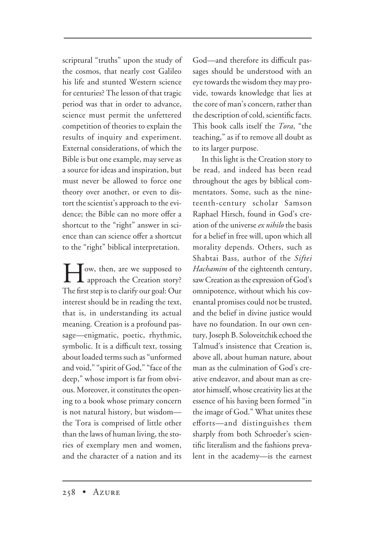scriptural "truths" upon the study of the cosmos, that nearly cost Galileo his life and stunted Western science for centuries? The lesson of that tragic period was that in order to advance, science must permit the unfettered competition of theories to explain the results of inquiry and experiment. External considerations, of which the Bible is but one example, may serve as a source for ideas and inspiration, but must never be allowed to force one theory over another, or even to distort the scientist's approach to the evidence; the Bible can no more offer a shortcut to the "right" answer in science than can science offer a shortcut to the "right" biblical interpretation.

**How, then, are we supposed to**<br>approach the Creation story? The first step is to clarify our goal: Our interest should be in reading the text, that is, in understanding its actual meaning. Creation is a profound passage—enigmatic, poetic, rhythmic, symbolic. It is a difficult text, tossing about loaded terms such as "unformed and void," "spirit of God," "face of the deep," whose import is far from obvious. Moreover, it constitutes the opening to a book whose primary concern is not natural history, but wisdom the Tora is comprised of little other than the laws of human living, the stories of exemplary men and women, and the character of a nation and its

God—and therefore its difficult passages should be understood with an eye towards the wisdom they may provide, towards knowledge that lies at the core of man's concern, rather than the description of cold, scientific facts. This book calls itself the *Tora*, "the teaching," as if to remove all doubt as to its larger purpose.

In this light is the Creation story to be read, and indeed has been read throughout the ages by biblical commentators. Some, such as the nineteenth-century scholar Samson Raphael Hirsch, found in God's creation of the universe*ex nihilo* the basis for a belief in free will, upon which all morality depends. Others, such as Shabtai Bass, author of the *Siftei Hachamim* of the eighteenth century, saw Creation as the expression of God's omnipotence, without which his covenantal promises could not be trusted, and the belief in divine justice would have no foundation. In our own century, Joseph B. Soloveitchik echoed the Talmud's insistence that Creation is, above all, about human nature, about man as the culmination of God's creative endeavor, and about man as creator himself, whose creativity lies at the essence of his having been formed "in the image of God." What unites these efforts—and distinguishes them sharply from both Schroeder's scientific literalism and the fashions prevalent in the academy—is the earnest